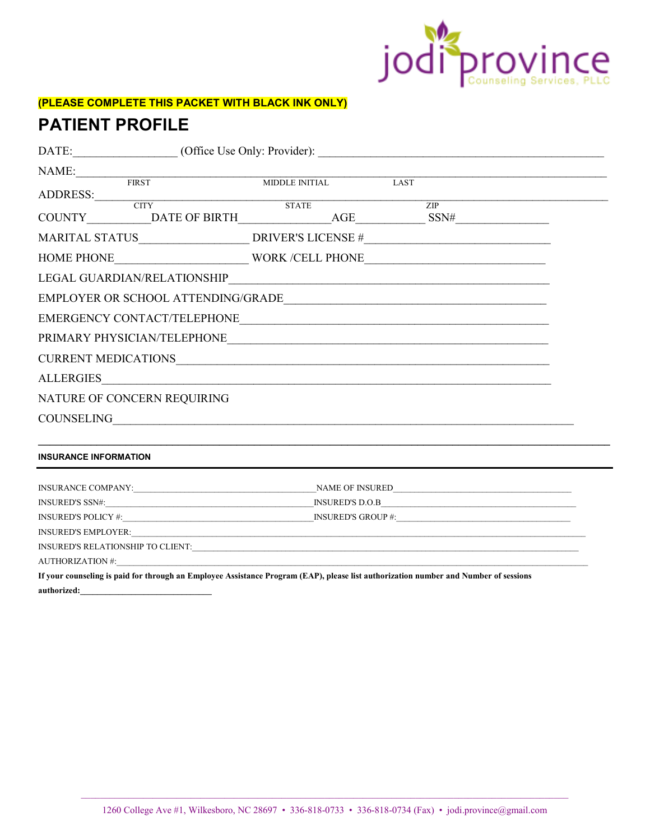

# (PLEASE COMPLETE THIS PACKET WITH BLACK INK ONLY)

# **PATIENT PROFILE**

| NAME:                                                                                                                                | $\label{eq:subd} \text{MIDDLE INITIAL}$                                                                              |      |     |  |  |  |  |
|--------------------------------------------------------------------------------------------------------------------------------------|----------------------------------------------------------------------------------------------------------------------|------|-----|--|--|--|--|
| $\overline{\text{FIRST}}$                                                                                                            |                                                                                                                      | LAST |     |  |  |  |  |
| ADDRESS: CITY                                                                                                                        | STATE                                                                                                                |      | ZIP |  |  |  |  |
| COUNTY DATE OF BIRTH AGE SSN#                                                                                                        |                                                                                                                      |      |     |  |  |  |  |
|                                                                                                                                      |                                                                                                                      |      |     |  |  |  |  |
|                                                                                                                                      |                                                                                                                      |      |     |  |  |  |  |
|                                                                                                                                      |                                                                                                                      |      |     |  |  |  |  |
|                                                                                                                                      |                                                                                                                      |      |     |  |  |  |  |
|                                                                                                                                      |                                                                                                                      |      |     |  |  |  |  |
|                                                                                                                                      |                                                                                                                      |      |     |  |  |  |  |
|                                                                                                                                      |                                                                                                                      |      |     |  |  |  |  |
| ALLERGIES                                                                                                                            | <u> 2000 - Jan Barat de Barat de la contrada de la contrada de la contrada de la contrada de la contrada de la c</u> |      |     |  |  |  |  |
| NATURE OF CONCERN REQUIRING                                                                                                          |                                                                                                                      |      |     |  |  |  |  |
|                                                                                                                                      |                                                                                                                      |      |     |  |  |  |  |
| <b>INSURANCE INFORMATION</b>                                                                                                         |                                                                                                                      |      |     |  |  |  |  |
|                                                                                                                                      |                                                                                                                      |      |     |  |  |  |  |
|                                                                                                                                      |                                                                                                                      |      |     |  |  |  |  |
|                                                                                                                                      |                                                                                                                      |      |     |  |  |  |  |
|                                                                                                                                      |                                                                                                                      |      |     |  |  |  |  |
|                                                                                                                                      |                                                                                                                      |      |     |  |  |  |  |
|                                                                                                                                      |                                                                                                                      |      |     |  |  |  |  |
| If your counseling is paid for through an Employee Assistance Program (EAP), please list authorization number and Number of sessions |                                                                                                                      |      |     |  |  |  |  |
| authorized:                                                                                                                          |                                                                                                                      |      |     |  |  |  |  |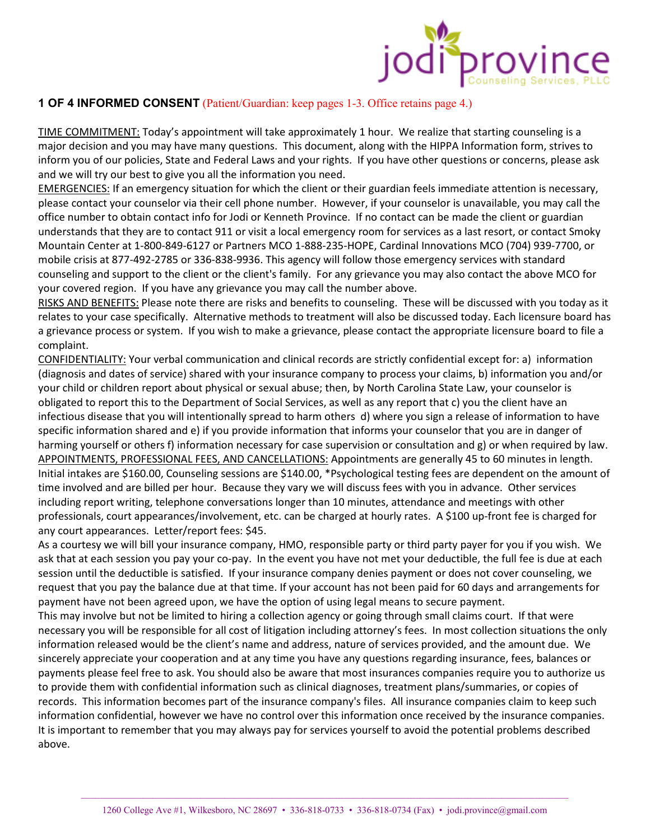

TIME COMMITMENT: Today's appointment will take approximately 1 hour. We realize that starting counseling is a major decision and you may have many questions. This document, along with the HIPPA Information form, strives to inform you of our policies, State and Federal Laws and your rights. If you have other questions or concerns, please ask and we will try our best to give you all the information you need.

EMERGENCIES: If an emergency situation for which the client or their guardian feels immediate attention is necessary, please contact your counselor via their cell phone number. However, if your counselor is unavailable, you may call the office number to obtain contact info for Jodi or Kenneth Province. If no contact can be made the client or guardian understands that they are to contact 911 or visit a local emergency room for services as a last resort, or contact Smoky Mountain Center at 1-800-849-6127 or Partners MCO 1-888-235-HOPE, Cardinal Innovations MCO (704) 939-7700, or mobile crisis at 877-492-2785 or 336-838-9936. This agency will follow those emergency services with standard counseling and support to the client or the client's family. For any grievance you may also contact the above MCO for your covered region. If you have any grievance you may call the number above.

RISKS AND BENEFITS: Please note there are risks and benefits to counseling. These will be discussed with you today as it relates to your case specifically. Alternative methods to treatment will also be discussed today. Each licensure board has a grievance process or system. If you wish to make a grievance, please contact the appropriate licensure board to file a complaint.

CONFIDENTIALITY: Your verbal communication and clinical records are strictly confidential except for: a) information (diagnosis and dates of service) shared with your insurance company to process your claims, b) information you and/or your child or children report about physical or sexual abuse; then, by North Carolina State Law, your counselor is obligated to report this to the Department of Social Services, as well as any report that c) you the client have an infectious disease that you will intentionally spread to harm others d) where you sign a release of information to have specific information shared and e) if you provide information that informs your counselor that you are in danger of harming yourself or others f) information necessary for case supervision or consultation and g) or when required by law. APPOINTMENTS, PROFESSIONAL FEES, AND CANCELLATIONS: Appointments are generally 45 to 60 minutes in length. Initial intakes are \$160.00, Counseling sessions are \$140.00, \*Psychological testing fees are dependent on the amount of time involved and are billed per hour. Because they vary we will discuss fees with you in advance. Other services including report writing, telephone conversations longer than 10 minutes, attendance and meetings with other professionals, court appearances/involvement, etc. can be charged at hourly rates. A \$100 up-front fee is charged for any court appearances. Letter/report fees: \$45.

As a courtesy we will bill your insurance company, HMO, responsible party or third party payer for you if you wish. We ask that at each session you pay your co-pay. In the event you have not met your deductible, the full fee is due at each session until the deductible is satisfied. If your insurance company denies payment or does not cover counseling, we request that you pay the balance due at that time. If your account has not been paid for 60 days and arrangements for payment have not been agreed upon, we have the option of using legal means to secure payment.

This may involve but not be limited to hiring a collection agency or going through small claims court. If that were necessary you will be responsible for all cost of litigation including attorney's fees. In most collection situations the only information released would be the client's name and address, nature of services provided, and the amount due. We sincerely appreciate your cooperation and at any time you have any questions regarding insurance, fees, balances or payments please feel free to ask. You should also be aware that most insurances companies require you to authorize us to provide them with confidential information such as clinical diagnoses, treatment plans/summaries, or copies of records. This information becomes part of the insurance company's files. All insurance companies claim to keep such information confidential, however we have no control over this information once received by the insurance companies. It is important to remember that you may always pay for services yourself to avoid the potential problems described above.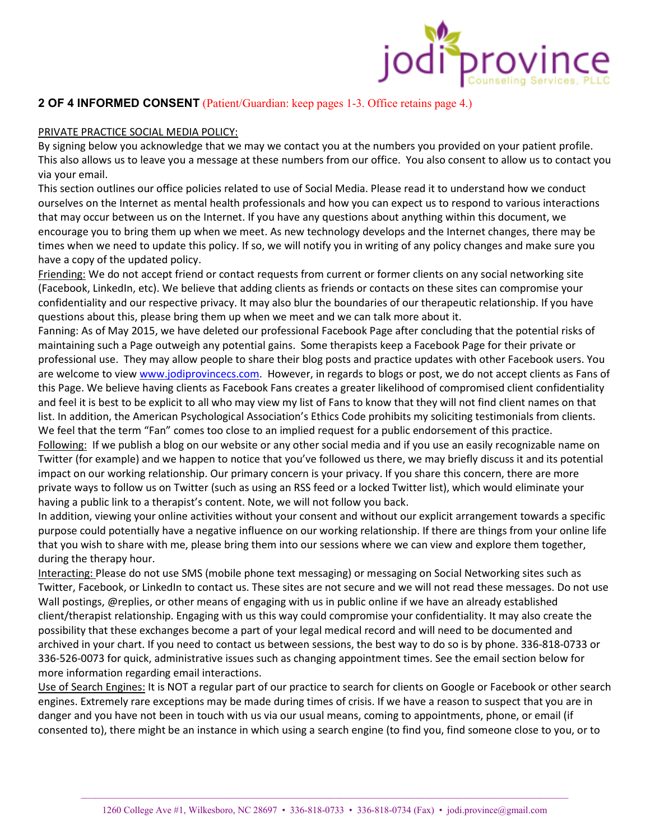

### PRIVATE PRACTICE SOCIAL MEDIA POLICY:

By signing below you acknowledge that we may we contact you at the numbers you provided on your patient profile. This also allows us to leave you a message at these numbers from our office. You also consent to allow us to contact you via your email.

This section outlines our office policies related to use of Social Media. Please read it to understand how we conduct ourselves on the Internet as mental health professionals and how you can expect us to respond to various interactions that may occur between us on the Internet. If you have any questions about anything within this document, we encourage you to bring them up when we meet. As new technology develops and the Internet changes, there may be times when we need to update this policy. If so, we will notify you in writing of any policy changes and make sure you have a copy of the updated policy.

Friending: We do not accept friend or contact requests from current or former clients on any social networking site (Facebook, LinkedIn, etc). We believe that adding clients as friends or contacts on these sites can compromise your confidentiality and our respective privacy. It may also blur the boundaries of our therapeutic relationship. If you have questions about this, please bring them up when we meet and we can talk more about it.

Fanning: As of May 2015, we have deleted our professional Facebook Page after concluding that the potential risks of maintaining such a Page outweigh any potential gains. Some therapists keep a Facebook Page for their private or professional use. They may allow people to share their blog posts and practice updates with other Facebook users. You are welcome to view www.jodiprovincecs.com. However, in regards to blogs or post, we do not accept clients as Fans of this Page. We believe having clients as Facebook Fans creates a greater likelihood of compromised client confidentiality and feel it is best to be explicit to all who may view my list of Fans to know that they will not find client names on that list. In addition, the American Psychological Association's Ethics Code prohibits my soliciting testimonials from clients. We feel that the term "Fan" comes too close to an implied request for a public endorsement of this practice. Following: If we publish a blog on our website or any other social media and if you use an easily recognizable name on Twitter (for example) and we happen to notice that you've followed us there, we may briefly discuss it and its potential

impact on our working relationship. Our primary concern is your privacy. If you share this concern, there are more private ways to follow us on Twitter (such as using an RSS feed or a locked Twitter list), which would eliminate your having a public link to a therapist's content. Note, we will not follow you back.

In addition, viewing your online activities without your consent and without our explicit arrangement towards a specific purpose could potentially have a negative influence on our working relationship. If there are things from your online life that you wish to share with me, please bring them into our sessions where we can view and explore them together, during the therapy hour.

Interacting: Please do not use SMS (mobile phone text messaging) or messaging on Social Networking sites such as Twitter, Facebook, or LinkedIn to contact us. These sites are not secure and we will not read these messages. Do not use Wall postings, @replies, or other means of engaging with us in public online if we have an already established client/therapist relationship. Engaging with us this way could compromise your confidentiality. It may also create the possibility that these exchanges become a part of your legal medical record and will need to be documented and archived in your chart. If you need to contact us between sessions, the best way to do so is by phone. 336-818-0733 or 336-526-0073 for quick, administrative issues such as changing appointment times. See the email section below for more information regarding email interactions.

Use of Search Engines: It is NOT a regular part of our practice to search for clients on Google or Facebook or other search engines. Extremely rare exceptions may be made during times of crisis. If we have a reason to suspect that you are in danger and you have not been in touch with us via our usual means, coming to appointments, phone, or email (if consented to), there might be an instance in which using a search engine (to find you, find someone close to you, or to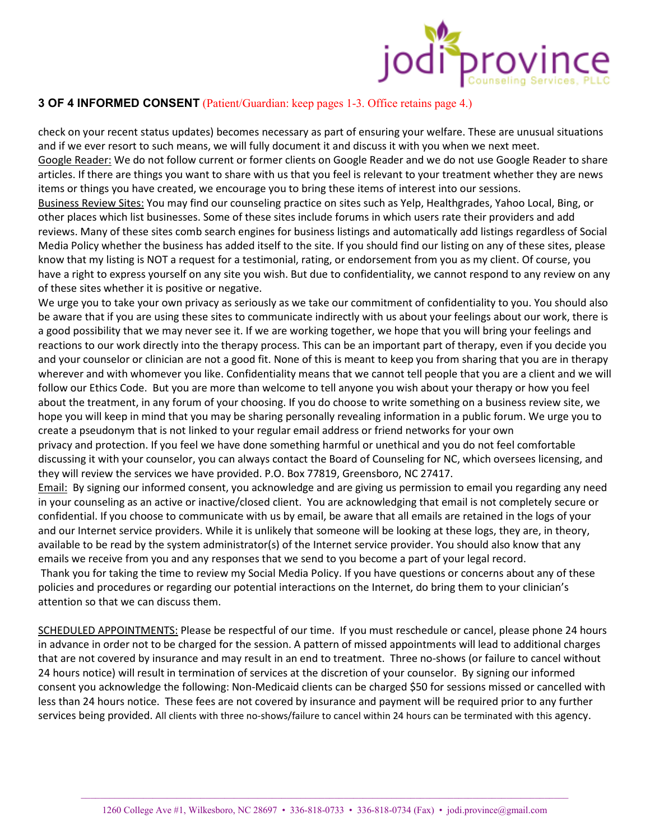

check on your recent status updates) becomes necessary as part of ensuring your welfare. These are unusual situations and if we ever resort to such means, we will fully document it and discuss it with you when we next meet. Google Reader: We do not follow current or former clients on Google Reader and we do not use Google Reader to share articles. If there are things you want to share with us that you feel is relevant to your treatment whether they are news items or things you have created, we encourage you to bring these items of interest into our sessions. Business Review Sites: You may find our counseling practice on sites such as Yelp, Healthgrades, Yahoo Local, Bing, or other places which list businesses. Some of these sites include forums in which users rate their providers and add reviews. Many of these sites comb search engines for business listings and automatically add listings regardless of Social Media Policy whether the business has added itself to the site. If you should find our listing on any of these sites, please know that my listing is NOT a request for a testimonial, rating, or endorsement from you as my client. Of course, you have a right to express yourself on any site you wish. But due to confidentiality, we cannot respond to any review on any of these sites whether it is positive or negative.

We urge you to take your own privacy as seriously as we take our commitment of confidentiality to you. You should also be aware that if you are using these sites to communicate indirectly with us about your feelings about our work, there is a good possibility that we may never see it. If we are working together, we hope that you will bring your feelings and reactions to our work directly into the therapy process. This can be an important part of therapy, even if you decide you and your counselor or clinician are not a good fit. None of this is meant to keep you from sharing that you are in therapy wherever and with whomever you like. Confidentiality means that we cannot tell people that you are a client and we will follow our Ethics Code. But you are more than welcome to tell anyone you wish about your therapy or how you feel about the treatment, in any forum of your choosing. If you do choose to write something on a business review site, we hope you will keep in mind that you may be sharing personally revealing information in a public forum. We urge you to create a pseudonym that is not linked to your regular email address or friend networks for your own privacy and protection. If you feel we have done something harmful or unethical and you do not feel comfortable

discussing it with your counselor, you can always contact the Board of Counseling for NC, which oversees licensing, and they will review the services we have provided. P.O. Box 77819, Greensboro, NC 27417.

Email: By signing our informed consent, you acknowledge and are giving us permission to email you regarding any need in your counseling as an active or inactive/closed client. You are acknowledging that email is not completely secure or confidential. If you choose to communicate with us by email, be aware that all emails are retained in the logs of your and our Internet service providers. While it is unlikely that someone will be looking at these logs, they are, in theory, available to be read by the system administrator(s) of the Internet service provider. You should also know that any emails we receive from you and any responses that we send to you become a part of your legal record. Thank you for taking the time to review my Social Media Policy. If you have questions or concerns about any of these policies and procedures or regarding our potential interactions on the Internet, do bring them to your clinician's

attention so that we can discuss them.

SCHEDULED APPOINTMENTS: Please be respectful of our time. If you must reschedule or cancel, please phone 24 hours in advance in order not to be charged for the session. A pattern of missed appointments will lead to additional charges that are not covered by insurance and may result in an end to treatment. Three no-shows (or failure to cancel without 24 hours notice) will result in termination of services at the discretion of your counselor. By signing our informed consent you acknowledge the following: Non-Medicaid clients can be charged \$50 for sessions missed or cancelled with less than 24 hours notice. These fees are not covered by insurance and payment will be required prior to any further services being provided. All clients with three no-shows/failure to cancel within 24 hours can be terminated with this agency.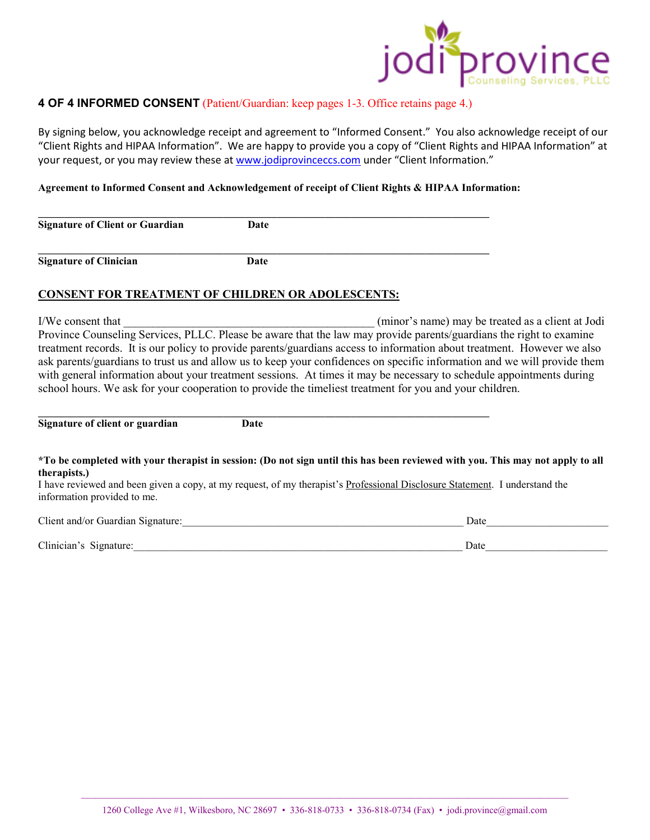

By signing below, you acknowledge receipt and agreement to "Informed Consent." You also acknowledge receipt of our "Client Rights and HIPAA Information". We are happy to provide you a copy of "Client Rights and HIPAA Information" at your request, or you may review these at www.jodiprovinceccs.com under "Client Information."

#### **Agreement to Informed Consent and Acknowledgement of receipt of Client Rights & HIPAA Information:**

**\_\_\_\_\_\_\_\_\_\_\_\_\_\_\_\_\_\_\_\_\_\_\_\_\_\_\_\_\_\_\_\_\_\_\_\_\_\_\_\_\_\_\_\_\_\_\_\_\_\_\_\_\_\_\_\_\_\_\_\_\_\_\_\_\_\_\_\_\_\_\_\_\_\_\_\_\_\_\_\_\_\_\_\_\_ Signature of Client or Guardian Date \_\_\_\_\_\_\_\_\_\_\_\_\_\_\_\_\_\_\_\_\_\_\_\_\_\_\_\_\_\_\_\_\_\_\_\_\_\_\_\_\_\_\_\_\_\_\_\_\_\_\_\_\_\_\_\_\_\_\_\_\_\_\_\_\_\_\_\_\_\_\_\_\_\_\_\_\_\_\_\_\_\_\_\_\_** 

**Signature of Clinician Date Date** 

### **CONSENT FOR TREATMENT OF CHILDREN OR ADOLESCENTS:**

I/We consent that  $\qquad$  (minor's name) may be treated as a client at Jodi Province Counseling Services, PLLC. Please be aware that the law may provide parents/guardians the right to examine treatment records. It is our policy to provide parents/guardians access to information about treatment. However we also ask parents/guardians to trust us and allow us to keep your confidences on specific information and we will provide them with general information about your treatment sessions. At times it may be necessary to schedule appointments during school hours. We ask for your cooperation to provide the timeliest treatment for you and your children.

**Signature of client or guardian Date** 

**\_\_\_\_\_\_\_\_\_\_\_\_\_\_\_\_\_\_\_\_\_\_\_\_\_\_\_\_\_\_\_\_\_\_\_\_\_\_\_\_\_\_\_\_\_\_\_\_\_\_\_\_\_\_\_\_\_\_\_\_\_\_\_\_\_\_\_\_\_\_\_\_\_\_\_\_\_\_\_\_\_\_\_\_\_** 

#### **\*To be completed with your therapist in session: (Do not sign until this has been reviewed with you. This may not apply to all therapists.)**

I have reviewed and been given a copy, at my request, of my therapist's Professional Disclosure Statement. I understand the information provided to me.

| Client and/or Guardian Signature: | Date |
|-----------------------------------|------|
|                                   |      |
| Clinician's Signature:            | Date |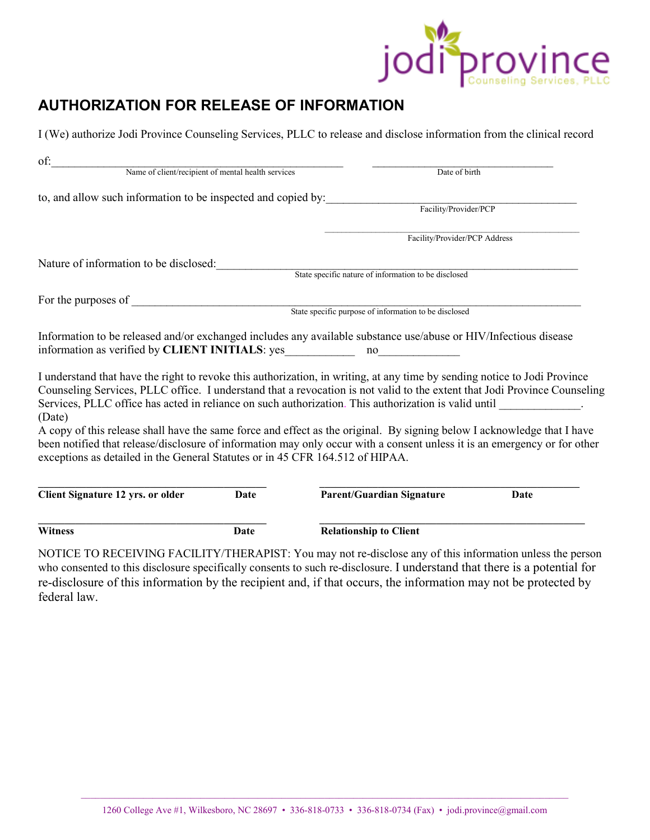

# **AUTHORIZATION FOR RELEASE OF INFORMATION**

I (We) authorize Jodi Province Counseling Services, PLLC to release and disclose information from the clinical record

| of:                                                                           |      |                                                                                                                                                                                                                                                                                                                                                                                                                                                                                                         |
|-------------------------------------------------------------------------------|------|---------------------------------------------------------------------------------------------------------------------------------------------------------------------------------------------------------------------------------------------------------------------------------------------------------------------------------------------------------------------------------------------------------------------------------------------------------------------------------------------------------|
| Name of client/recipient of mental health services                            |      | Date of birth                                                                                                                                                                                                                                                                                                                                                                                                                                                                                           |
| to, and allow such information to be inspected and copied by:                 |      |                                                                                                                                                                                                                                                                                                                                                                                                                                                                                                         |
|                                                                               |      | Facility/Provider/PCP                                                                                                                                                                                                                                                                                                                                                                                                                                                                                   |
|                                                                               |      | Facility/Provider/PCP Address                                                                                                                                                                                                                                                                                                                                                                                                                                                                           |
| Nature of information to be disclosed:                                        |      |                                                                                                                                                                                                                                                                                                                                                                                                                                                                                                         |
|                                                                               |      | State specific nature of information to be disclosed                                                                                                                                                                                                                                                                                                                                                                                                                                                    |
| For the purposes of                                                           |      |                                                                                                                                                                                                                                                                                                                                                                                                                                                                                                         |
|                                                                               |      | State specific purpose of information to be disclosed                                                                                                                                                                                                                                                                                                                                                                                                                                                   |
| information as verified by CLIENT INITIALS: yes<br>(Date)                     |      | Information to be released and/or exchanged includes any available substance use/abuse or HIV/Infectious disease<br>no<br>I understand that have the right to revoke this authorization, in writing, at any time by sending notice to Jodi Province<br>Counseling Services, PLLC office. I understand that a revocation is not valid to the extent that Jodi Province Counseling<br>Services, PLLC office has acted in reliance on such authorization. This authorization is valid until _____________. |
| exceptions as detailed in the General Statutes or in 45 CFR 164.512 of HIPAA. |      | A copy of this release shall have the same force and effect as the original. By signing below I acknowledge that I have<br>been notified that release/disclosure of information may only occur with a consent unless it is an emergency or for other                                                                                                                                                                                                                                                    |
| <b>Client Signature 12 yrs. or older</b>                                      | Date | <b>Parent/Guardian Signature</b><br>Date                                                                                                                                                                                                                                                                                                                                                                                                                                                                |
| <b>Witness</b>                                                                | Date | <b>Relationship to Client</b>                                                                                                                                                                                                                                                                                                                                                                                                                                                                           |
|                                                                               |      | NOTICE TO RECEIVING FACILITY/THERAPIST: You may not re-disclose any of this information unless the person                                                                                                                                                                                                                                                                                                                                                                                               |

who consented to this disclosure specifically consents to such re-disclosure. I understand that there is a potential for re-disclosure of this information by the recipient and, if that occurs, the information may not be protected by federal law.